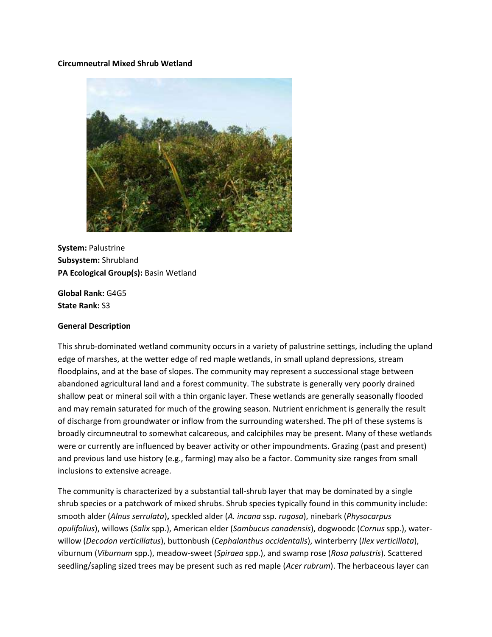### **Circumneutral Mixed Shrub Wetland**



**System:** Palustrine **Subsystem:** Shrubland **PA Ecological Group(s):** Basin Wetland

**Global Rank:** G4G5 **State Rank:** S3

#### **General Description**

This shrub-dominated wetland community occurs in a variety of palustrine settings, including the upland edge of marshes, at the wetter edge of red maple wetlands, in small upland depressions, stream floodplains, and at the base of slopes. The community may represent a successional stage between abandoned agricultural land and a forest community. The substrate is generally very poorly drained shallow peat or mineral soil with a thin organic layer. These wetlands are generally seasonally flooded and may remain saturated for much of the growing season. Nutrient enrichment is generally the result of discharge from groundwater or inflow from the surrounding watershed. The pH of these systems is broadly circumneutral to somewhat calcareous, and calciphiles may be present. Many of these wetlands were or currently are influenced by beaver activity or other impoundments. Grazing (past and present) and previous land use history (e.g., farming) may also be a factor. Community size ranges from small inclusions to extensive acreage.

The community is characterized by a substantial tall-shrub layer that may be dominated by a single shrub species or a patchwork of mixed shrubs. Shrub species typically found in this community include: smooth alder (*Alnus serrulata*)**,** speckled alder (*A. incana* ssp. *rugosa*), ninebark (*Physocarpus opulifolius*), willows (*Salix* spp.), American elder (*Sambucus canadensis*), dogwoodc (*Cornus* spp.), waterwillow (*Decodon verticillatus*), buttonbush (*Cephalanthus occidentalis*), winterberry (*Ilex verticillata*), viburnum (*Viburnum* spp.), meadow-sweet (*Spiraea* spp.), and swamp rose (*Rosa palustris*). Scattered seedling/sapling sized trees may be present such as red maple (*Acer rubrum*). The herbaceous layer can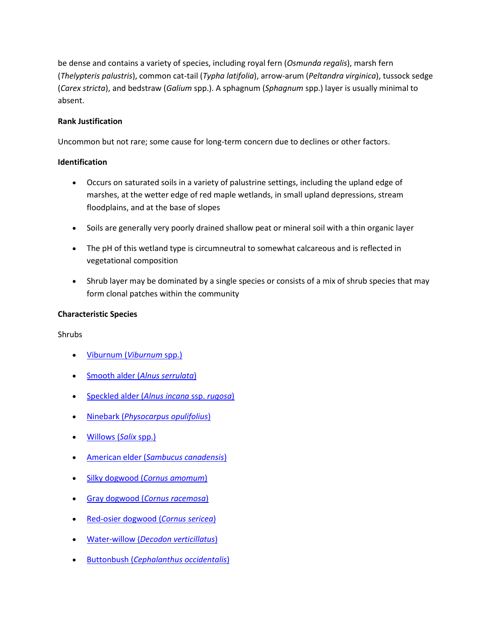be dense and contains a variety of species, including royal fern (*Osmunda regalis*), marsh fern (*Thelypteris palustris*), common cat-tail (*Typha latifolia*), arrow-arum (*Peltandra virginica*), tussock sedge (*Carex stricta*), and bedstraw (*Galium* spp.). A sphagnum (*Sphagnum* spp.) layer is usually minimal to absent.

# **Rank Justification**

Uncommon but not rare; some cause for long-term concern due to declines or other factors.

# **Identification**

- Occurs on saturated soils in a variety of palustrine settings, including the upland edge of marshes, at the wetter edge of red maple wetlands, in small upland depressions, stream floodplains, and at the base of slopes
- Soils are generally very poorly drained shallow peat or mineral soil with a thin organic layer
- The pH of this wetland type is circumneutral to somewhat calcareous and is reflected in vegetational composition
- Shrub layer may be dominated by a single species or consists of a mix of shrub species that may form clonal patches within the community

# **Characteristic Species**

Shrubs

- [Viburnum \(](http://www.natureserve.org/explorer/servlet/NatureServe?searchSciOrCommonName=viburnum)*Viburnum* spp.)
- Smooth alder (*[Alnus serrulata](http://www.natureserve.org/explorer/servlet/NatureServe?searchName=Alnus+serrulata)*)
- [Speckled alder \(](http://www.natureserve.org/explorer/servlet/NatureServe?searchName=Alnus+incana+ssp.+rugosa)*Alnus incana* ssp. *rugosa*)
- Ninebark (*[Physocarpus opulifolius](http://www.natureserve.org/explorer/servlet/NatureServe?searchName=Physocarpus+opulifolius)*)
- [Willows \(](http://www.natureserve.org/explorer/servlet/NatureServe?searchSciOrCommonName=salix)*Salix* spp.)
- American elder (*[Sambucus canadensis](http://www.natureserve.org/explorer/servlet/NatureServe?searchName=Sambucus+canadensis)*)
- Silky dogwood (*[Cornus amomum](http://www.natureserve.org/explorer/servlet/NatureServe?searchName=Cornus+amomum+ssp.+amomum)*)
- Gray dogwood (*[Cornus racemosa](http://www.natureserve.org/explorer/servlet/NatureServe?searchName=Cornus+racemosa)*)
- [Red-osier dogwood \(](http://www.natureserve.org/explorer/servlet/NatureServe?searchName=Cornus+sericea)*Cornus sericea*)
- Water-willow (*[Decodon verticillatus](http://www.natureserve.org/explorer/servlet/NatureServe?searchName=Decodon+verticillatus)*)
- Buttonbush (*[Cephalanthus occidentalis](http://www.natureserve.org/explorer/servlet/NatureServe?searchName=Cephalanthus+occidentalis)*)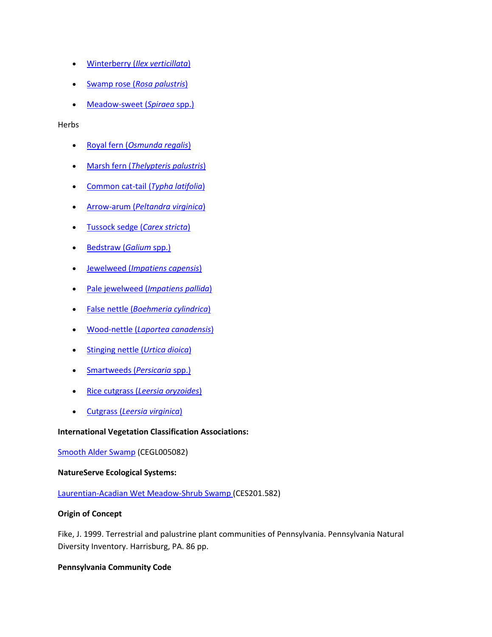- Winterberry (*[Ilex verticillata](http://www.natureserve.org/explorer/servlet/NatureServe?searchName=Ilex+verticillata)*)
- Swamp rose (*[Rosa palustris](http://www.natureserve.org/explorer/servlet/NatureServe?searchName=Rosa+palustris)*)
- [Meadow-sweet \(](http://www.natureserve.org/explorer/servlet/NatureServe?searchSciOrCommonName=spiraea)*Spiraea* spp.)

### Herbs

- Royal fern (*[Osmunda regalis](http://www.natureserve.org/explorer/servlet/NatureServe?searchName=Osmunda+regalis)*)
- Marsh fern (*[Thelypteris palustris](http://www.natureserve.org/explorer/servlet/NatureServe?searchName=Thelypteris+palustris)*)
- [Common cat-tail \(](http://www.natureserve.org/explorer/servlet/NatureServe?searchName=Typha+latifolia)*Typha latifolia*)
- Arrow-arum (*[Peltandra virginica](http://www.natureserve.org/explorer/servlet/NatureServe?searchName=Peltandra+virginica)*)
- [Tussock sedge \(](http://www.natureserve.org/explorer/servlet/NatureServe?searchName=Carex+stricta)*Carex stricta*)
- [Bedstraw \(](http://www.natureserve.org/explorer/servlet/NatureServe?searchSciOrCommonName=galium)*Galium* spp.)
- Jewelweed (*[Impatiens capensis](http://www.natureserve.org/explorer/servlet/NatureServe?searchName=Impatiens+capensis)*)
- Pale jewelweed (*[Impatiens pallida](http://www.natureserve.org/explorer/servlet/NatureServe?searchName=Impatiens+pallida)*)
- False nettle (*[Boehmeria cylindrica](http://www.natureserve.org/explorer/servlet/NatureServe?searchName=Boehmeria+cylindrica)*)
- Wood-nettle (*[Laportea canadensis](http://www.natureserve.org/explorer/servlet/NatureServe?searchName=Laportea+canadensis)*)
- [Stinging nettle \(](http://www.natureserve.org/explorer/servlet/NatureServe?searchName=Urtica+dioica)*Urtica dioica*)
- [Smartweeds \(](http://www.natureserve.org/explorer/servlet/NatureServe?searchSciOrCommonName=Polygonum)*Persicaria* spp.)
- Rice cutgrass (*[Leersia oryzoides](http://www.natureserve.org/explorer/servlet/NatureServe?searchName=Leersia+oryzoides)*)
- Cutgrass (*[Leersia virginica](http://www.natureserve.org/explorer/servlet/NatureServe?searchName=Leersia+virginica)*)

## **International Vegetation Classification Associations:**

[Smooth Alder Swamp](http://www.natureserve.org/explorer/servlet/NatureServe?searchCommunityUid=ELEMENT_GLOBAL.2.684668) (CEGL005082)

## **NatureServe Ecological Systems:**

[Laurentian-Acadian Wet Meadow-Shrub Swamp \(](http://www.natureserve.org/explorer/servlet/NatureServe?searchSystemUid=ELEMENT_GLOBAL.2.731538)CES201.582)

## **Origin of Concept**

Fike, J. 1999. Terrestrial and palustrine plant communities of Pennsylvania. Pennsylvania Natural Diversity Inventory. Harrisburg, PA. 86 pp.

## **Pennsylvania Community Code**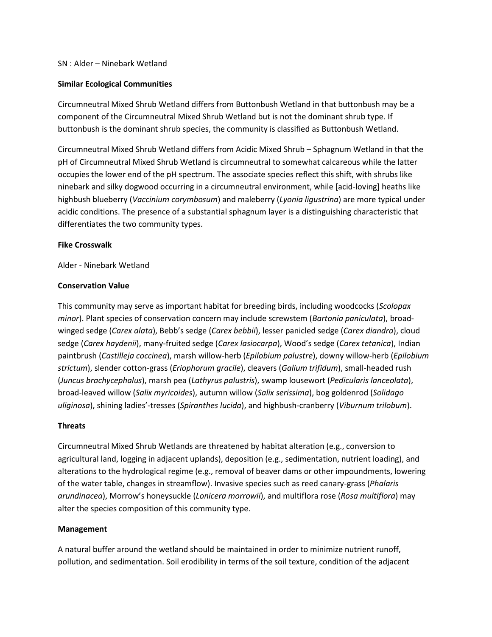### SN : Alder – Ninebark Wetland

### **Similar Ecological Communities**

Circumneutral Mixed Shrub Wetland differs from Buttonbush Wetland in that buttonbush may be a component of the Circumneutral Mixed Shrub Wetland but is not the dominant shrub type. If buttonbush is the dominant shrub species, the community is classified as Buttonbush Wetland.

Circumneutral Mixed Shrub Wetland differs from Acidic Mixed Shrub – Sphagnum Wetland in that the pH of Circumneutral Mixed Shrub Wetland is circumneutral to somewhat calcareous while the latter occupies the lower end of the pH spectrum. The associate species reflect this shift, with shrubs like ninebark and silky dogwood occurring in a circumneutral environment, while [acid-loving] heaths like highbush blueberry (*Vaccinium corymbosum*) and maleberry (*Lyonia ligustrina*) are more typical under acidic conditions. The presence of a substantial sphagnum layer is a distinguishing characteristic that differentiates the two community types.

#### **Fike Crosswalk**

Alder - Ninebark Wetland

### **Conservation Value**

This community may serve as important habitat for breeding birds, including woodcocks (*Scolopax minor*). Plant species of conservation concern may include screwstem (*Bartonia paniculata*), broadwinged sedge (*Carex alata*), Bebb's sedge (*Carex bebbii*), lesser panicled sedge (*Carex diandra*), cloud sedge (*Carex haydenii*), many-fruited sedge (*Carex lasiocarpa*), Wood's sedge (*Carex tetanica*), Indian paintbrush (*Castilleja coccinea*), marsh willow-herb (*Epilobium palustre*), downy willow-herb (*Epilobium strictum*), slender cotton-grass (*Eriophorum gracile*), cleavers (*Galium trifidum*), small-headed rush (*Juncus brachycephalus*), marsh pea (*Lathyrus palustris*), swamp lousewort (*Pedicularis lanceolata*), broad-leaved willow (*Salix myricoides*), autumn willow (*Salix serissima*), bog goldenrod (*Solidago uliginosa*), shining ladies'-tresses (*Spiranthes lucida*), and highbush-cranberry (*Viburnum trilobum*).

## **Threats**

Circumneutral Mixed Shrub Wetlands are threatened by habitat alteration (e.g., conversion to agricultural land, logging in adjacent uplands), deposition (e.g., sedimentation, nutrient loading), and alterations to the hydrological regime (e.g., removal of beaver dams or other impoundments, lowering of the water table, changes in streamflow). Invasive species such as reed canary-grass (*Phalaris arundinacea*), Morrow's honeysuckle (*Lonicera morrowii*), and multiflora rose (*Rosa multiflora*) may alter the species composition of this community type.

## **Management**

A natural buffer around the wetland should be maintained in order to minimize nutrient runoff, pollution, and sedimentation. Soil erodibility in terms of the soil texture, condition of the adjacent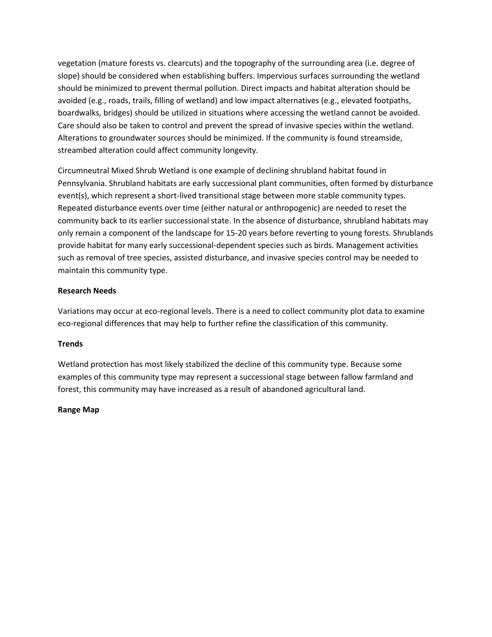vegetation (mature forests vs. clearcuts) and the topography of the surrounding area (i.e. degree of slope) should be considered when establishing buffers. Impervious surfaces surrounding the wetland should be minimized to prevent thermal pollution. Direct impacts and habitat alteration should be avoided (e.g., roads, trails, filling of wetland) and low impact alternatives (e.g., elevated footpaths, boardwalks, bridges) should be utilized in situations where accessing the wetland cannot be avoided. Care should also be taken to control and prevent the spread of invasive species within the wetland. Alterations to groundwater sources should be minimized. If the community is found streamside, streambed alteration could affect community longevity.

Circumneutral Mixed Shrub Wetland is one example of declining shrubland habitat found in Pennsylvania. Shrubland habitats are early successional plant communities, often formed by disturbance event(s), which represent a short-lived transitional stage between more stable community types. Repeated disturbance events over time (either natural or anthropogenic) are needed to reset the community back to its earlier successional state. In the absence of disturbance, shrubland habitats may only remain a component of the landscape for 15-20 years before reverting to young forests. Shrublands provide habitat for many early successional-dependent species such as birds. Management activities such as removal of tree species, assisted disturbance, and invasive species control may be needed to maintain this community type.

## **Research Needs**

Variations may occur at eco-regional levels. There is a need to collect community plot data to examine eco-regional differences that may help to further refine the classification of this community.

#### **Trends**

Wetland protection has most likely stabilized the decline of this community type. Because some examples of this community type may represent a successional stage between fallow farmland and forest, this community may have increased as a result of abandoned agricultural land.

#### **Range Map**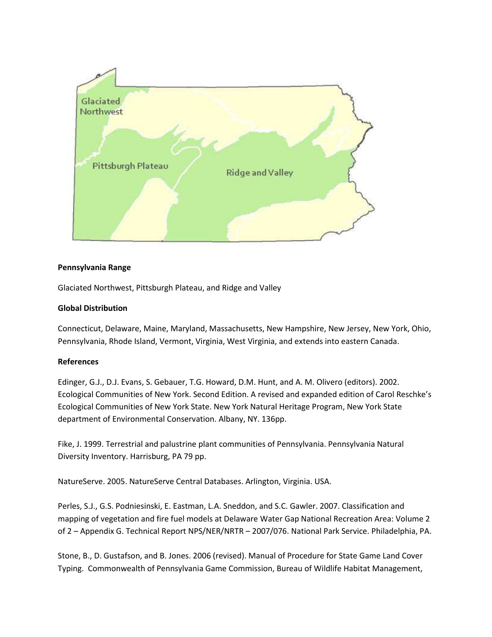

## **Pennsylvania Range**

Glaciated Northwest, Pittsburgh Plateau, and Ridge and Valley

### **Global Distribution**

Connecticut, Delaware, Maine, Maryland, Massachusetts, New Hampshire, New Jersey, New York, Ohio, Pennsylvania, Rhode Island, Vermont, Virginia, West Virginia, and extends into eastern Canada.

#### **References**

Edinger, G.J., D.J. Evans, S. Gebauer, T.G. Howard, D.M. Hunt, and A. M. Olivero (editors). 2002. Ecological Communities of New York. Second Edition. A revised and expanded edition of Carol Reschke's Ecological Communities of New York State. New York Natural Heritage Program, New York State department of Environmental Conservation. Albany, NY. 136pp.

Fike, J. 1999. Terrestrial and palustrine plant communities of Pennsylvania. Pennsylvania Natural Diversity Inventory. Harrisburg, PA 79 pp.

NatureServe. 2005. NatureServe Central Databases. Arlington, Virginia. USA.

Perles, S.J., G.S. Podniesinski, E. Eastman, L.A. Sneddon, and S.C. Gawler. 2007. Classification and mapping of vegetation and fire fuel models at Delaware Water Gap National Recreation Area: Volume 2 of 2 – Appendix G. Technical Report NPS/NER/NRTR – 2007/076. National Park Service. Philadelphia, PA.

Stone, B., D. Gustafson, and B. Jones. 2006 (revised). Manual of Procedure for State Game Land Cover Typing. Commonwealth of Pennsylvania Game Commission, Bureau of Wildlife Habitat Management,